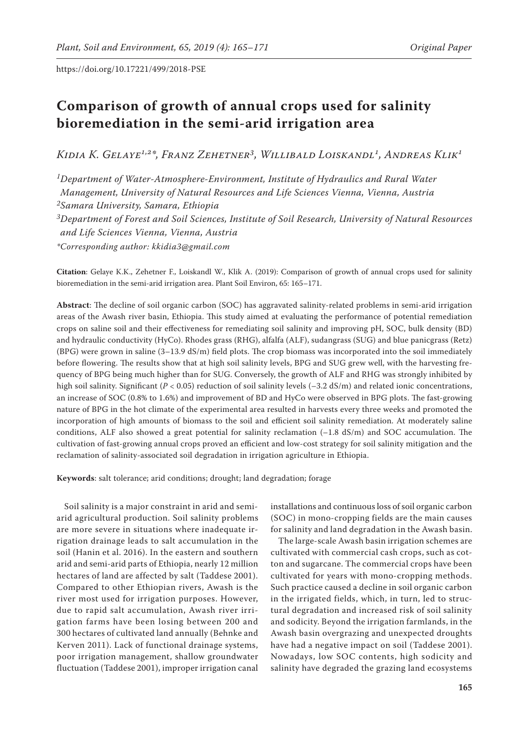# **Comparison of growth of annual crops used for salinity bioremediation in the semi-arid irrigation area**

*Kidia K. Gelaye1,2\*, Franz Zehetner3, Willibald Loiskandl1, Andreas Klik1*

*1Department of Water-Atmosphere-Environment, Institute of Hydraulics and Rural Water Management, University of Natural Resources and Life Sciences Vienna, Vienna, Austria*

*2Samara University, Samara, Ethiopia*

*3Department of Forest and Soil Sciences, Institute of Soil Research, University of Natural Resources and Life Sciences Vienna, Vienna, Austria*

*\*Corresponding author: kkidia3@gmail.com*

**Citation**: Gelaye K.K., Zehetner F., Loiskandl W., Klik A. (2019): Comparison of growth of annual crops used for salinity bioremediation in the semi-arid irrigation area. Plant Soil Environ, 65: 165–171.

**Abstract**: The decline of soil organic carbon (SOC) has aggravated salinity-related problems in semi-arid irrigation areas of the Awash river basin, Ethiopia. This study aimed at evaluating the performance of potential remediation crops on saline soil and their effectiveness for remediating soil salinity and improving pH, SOC, bulk density (BD) and hydraulic conductivity (HyCo). Rhodes grass (RHG), alfalfa (ALF), sudangrass (SUG) and blue panicgrass (Retz) (BPG) were grown in saline (3–13.9 dS/m) field plots. The crop biomass was incorporated into the soil immediately before flowering. The results show that at high soil salinity levels, BPG and SUG grew well, with the harvesting frequency of BPG being much higher than for SUG. Conversely, the growth of ALF and RHG was strongly inhibited by high soil salinity. Significant  $(P < 0.05)$  reduction of soil salinity levels  $(-3.2 \text{ dS/m})$  and related ionic concentrations, an increase of SOC (0.8% to 1.6%) and improvement of BD and HyCo were observed in BPG plots. The fast-growing nature of BPG in the hot climate of the experimental area resulted in harvests every three weeks and promoted the incorporation of high amounts of biomass to the soil and efficient soil salinity remediation. At moderately saline conditions, ALF also showed a great potential for salinity reclamation (–1.8 dS/m) and SOC accumulation. The cultivation of fast-growing annual crops proved an efficient and low-cost strategy for soil salinity mitigation and the reclamation of salinity-associated soil degradation in irrigation agriculture in Ethiopia.

**Keywords**: salt tolerance; arid conditions; drought; land degradation; forage

Soil salinity is a major constraint in arid and semiarid agricultural production. Soil salinity problems are more severe in situations where inadequate irrigation drainage leads to salt accumulation in the soil (Hanin et al. 2016). In the eastern and southern arid and semi-arid parts of Ethiopia, nearly 12 million hectares of land are affected by salt (Taddese 2001). Compared to other Ethiopian rivers, Awash is the river most used for irrigation purposes. However, due to rapid salt accumulation, Awash river irrigation farms have been losing between 200 and 300 hectares of cultivated land annually (Behnke and Kerven 2011). Lack of functional drainage systems, poor irrigation management, shallow groundwater fluctuation (Taddese 2001), improper irrigation canal installations and continuous loss of soil organic carbon (SOC) in mono-cropping fields are the main causes for salinity and land degradation in the Awash basin.

The large-scale Awash basin irrigation schemes are cultivated with commercial cash crops, such as cotton and sugarcane. The commercial crops have been cultivated for years with mono-cropping methods. Such practice caused a decline in soil organic carbon in the irrigated fields, which, in turn, led to structural degradation and increased risk of soil salinity and sodicity. Beyond the irrigation farmlands, in the Awash basin overgrazing and unexpected droughts have had a negative impact on soil (Taddese 2001). Nowadays, low SOC contents, high sodicity and salinity have degraded the grazing land ecosystems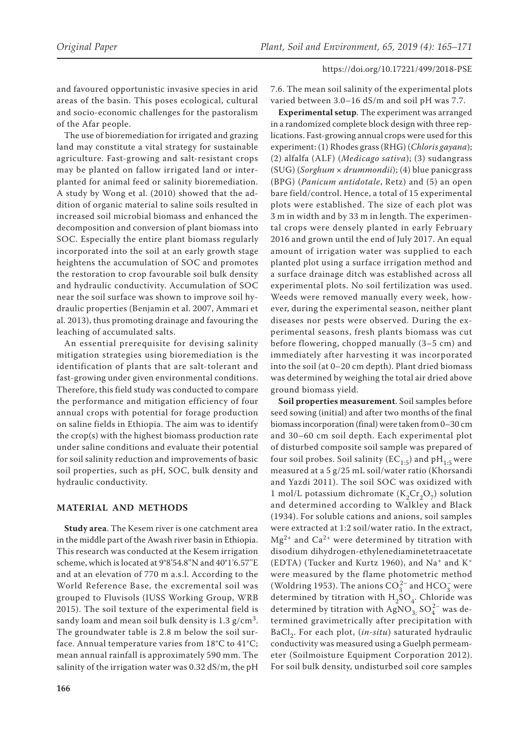and favoured opportunistic invasive species in arid areas of the basin. This poses ecological, cultural and socio-economic challenges for the pastoralism of the Afar people.

The use of bioremediation for irrigated and grazing land may constitute a vital strategy for sustainable agriculture. Fast-growing and salt-resistant crops may be planted on fallow irrigated land or interplanted for animal feed or salinity bioremediation. A study by Wong et al. (2010) showed that the addition of organic material to saline soils resulted in increased soil microbial biomass and enhanced the decomposition and conversion of plant biomass into SOC. Especially the entire plant biomass regularly incorporated into the soil at an early growth stage heightens the accumulation of SOC and promotes the restoration to crop favourable soil bulk density and hydraulic conductivity. Accumulation of SOC near the soil surface was shown to improve soil hydraulic properties (Benjamin et al. 2007, Ammari et al. 2013), thus promoting drainage and favouring the leaching of accumulated salts.

An essential prerequisite for devising salinity mitigation strategies using bioremediation is the identification of plants that are salt-tolerant and fast-growing under given environmental conditions. Therefore, this field study was conducted to compare the performance and mitigation efficiency of four annual crops with potential for forage production on saline fields in Ethiopia. The aim was to identify the crop(s) with the highest biomass production rate under saline conditions and evaluate their potential for soil salinity reduction and improvements of basic soil properties, such as pH, SOC, bulk density and hydraulic conductivity.

# **MATERIAL AND METHODS**

**Study area**. The Kesem river is one catchment area in the middle part of the Awash river basin in Ethiopia. This research was conducted at the Kesem irrigation scheme, which is located at 9°8'54.8''N and 40°1'6.57''E and at an elevation of 770 m a.s.l. According to the World Reference Base, the excremental soil was grouped to Fluvisols (IUSS Working Group, WRB 2015). The soil texture of the experimental field is sandy loam and mean soil bulk density is  $1.3$  g/cm<sup>3</sup>. The groundwater table is 2.8 m below the soil surface. Annual temperature varies from 18°C to 41°C; mean annual rainfall is approximately 590 mm. The salinity of the irrigation water was 0.32 dS/m, the pH 7.6. The mean soil salinity of the experimental plots varied between 3.0–16 dS/m and soil pH was 7.7.

**Experimental setup**. The experiment was arranged in a randomized complete block design with three replications. Fast-growing annual crops were used for this experiment: (1) Rhodes grass (RHG) (*Chloris gayana*); (2) alfalfa (ALF) (*Medicago sativa*); (3) sudangrass (SUG) (*Sorghum* × *drummondii*); (4) blue panicgrass (BPG) (*Panicum antidotale*, Retz) and (5) an open bare field/control. Hence, a total of 15 experimental plots were established. The size of each plot was 3 m in width and by 33 m in length. The experimental crops were densely planted in early February 2016 and grown until the end of July 2017. An equal amount of irrigation water was supplied to each planted plot using a surface irrigation method and a surface drainage ditch was established across all experimental plots. No soil fertilization was used. Weeds were removed manually every week, however, during the experimental season, neither plant diseases nor pests were observed. During the experimental seasons, fresh plants biomass was cut before flowering, chopped manually (3–5 cm) and immediately after harvesting it was incorporated into the soil (at 0–20 cm depth). Plant dried biomass was determined by weighing the total air dried above ground biomass yield.

**Soil properties measurement**. Soil samples before seed sowing (initial) and after two months of the final biomass incorporation (final) were taken from 0–30 cm and 30–60 cm soil depth. Each experimental plot of disturbed composite soil sample was prepared of four soil probes. Soil salinity ( $EC_{1:5}$ ) and pH<sub>1:5</sub> were measured at a 5 g/25 mL soil/water ratio (Khorsandi and Yazdi 2011). The soil SOC was oxidized with 1 mol/L potassium dichromate  $(K_2Cr_2O_7)$  solution and determined according to Walkley and Black (1934). For soluble cations and anions, soil samples were extracted at 1:2 soil/water ratio. In the extract,  $Mg^{2+}$  and  $Ca^{2+}$  were determined by titration with disodium dihydrogen-ethylenediaminetetraacetate (EDTA) (Tucker and Kurtz 1960), and  $Na<sup>+</sup>$  and  $K<sup>+</sup>$ were measured by the flame photometric method (Woldring 1953). The anions  $CO_3^{2-}$  and  $HCO_3^-$  were determined by titration with  $H_2SO_4$ . Chloride was determined by titration with AgNO<sub>3;</sub> SO<sub>4</sub><sup>2</sup> was determined gravimetrically after precipitation with BaCl<sub>2</sub>. For each plot, (in-situ) saturated hydraulic conductivity was measured using a Guelph permeameter (Soilmoisture Equipment Corporation 2012). For soil bulk density, undisturbed soil core samples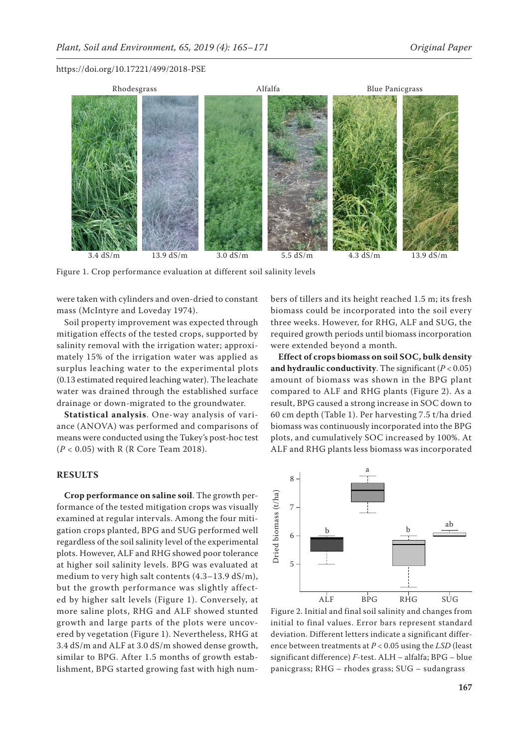

Figure 1. Crop performance evaluation at different soil salinity levels

were taken with cylinders and oven-dried to constant mass (McIntyre and Loveday 1974).

Soil property improvement was expected through mitigation effects of the tested crops, supported by salinity removal with the irrigation water; approximately 15% of the irrigation water was applied as surplus leaching water to the experimental plots (0.13 estimated required leaching water). The leachate water was drained through the established surface drainage or down-migrated to the groundwater.

**Statistical analysis**. One-way analysis of variance (ANOVA) was performed and comparisons of means were conducted using the Tukey's post-hoc test (*P* < 0.05) with R (R Core Team 2018).

# **RESULTS**

**Crop performance on saline soil**. The growth performance of the tested mitigation crops was visually examined at regular intervals. Among the four mitigation crops planted, BPG and SUG performed well regardless of the soil salinity level of the experimental plots. However, ALF and RHG showed poor tolerance at higher soil salinity levels. BPG was evaluated at medium to very high salt contents (4.3–13.9 dS/m), but the growth performance was slightly affected by higher salt levels (Figure 1). Conversely, at more saline plots, RHG and ALF showed stunted growth and large parts of the plots were uncovered by vegetation (Figure 1). Nevertheless, RHG at 3.4 dS/m and ALF at 3.0 dS/m showed dense growth, similar to BPG. After 1.5 months of growth establishment, BPG started growing fast with high numbers of tillers and its height reached 1.5 m; its fresh biomass could be incorporated into the soil every three weeks. However, for RHG, ALF and SUG, the required growth periods until biomass incorporation were extended beyond a month.

**Effect of crops biomass on soil SOC, bulk density**  and hydraulic conductivity. The significant  $(P < 0.05)$ amount of biomass was shown in the BPG plant compared to ALF and RHG plants (Figure 2). As a result, BPG caused a strong increase in SOC down to 60 cm depth (Table 1). Per harvesting 7.5 t/ha dried biomass was continuously incorporated into the BPG plots, and cumulatively SOC increased by 100%. At ALF and RHG plants less biomass was incorporated



Figure 2. Initial and final soil salinity and changes from initial to final values. Error bars represent standard deviation. Different letters indicate a significant difference between treatments at *P* < 0.05 using the *LSD* (least significant difference) *F*-test. ALH – alfalfa; BPG – blue panicgrass; RHG – rhodes grass; SUG – sudangrass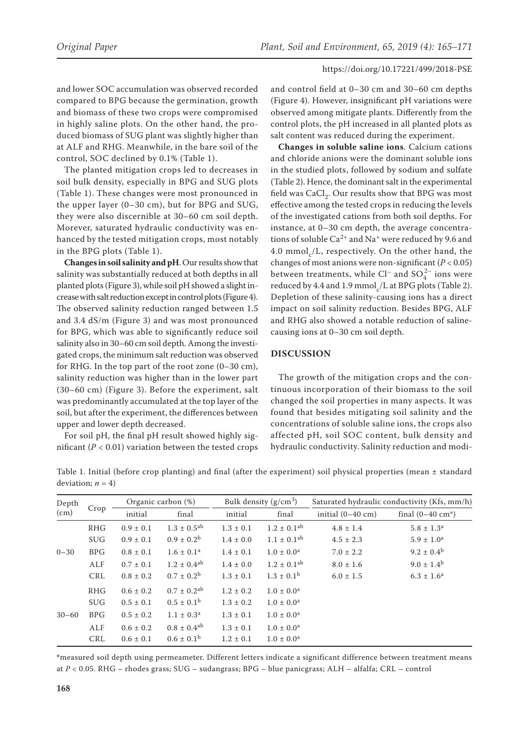and lower SOC accumulation was observed recorded compared to BPG because the germination, growth and biomass of these two crops were compromised in highly saline plots. On the other hand, the produced biomass of SUG plant was slightly higher than at ALF and RHG. Meanwhile, in the bare soil of the control, SOC declined by 0.1% (Table 1).

The planted mitigation crops led to decreases in soil bulk density, especially in BPG and SUG plots (Table 1). These changes were most pronounced in the upper layer (0–30 cm), but for BPG and SUG, they were also discernible at 30–60 cm soil depth. Morever, saturated hydraulic conductivity was enhanced by the tested mitigation crops, most notably in the BPG plots (Table 1).

**Changes in soil salinity and pH**. Our results show that salinity was substantially reduced at both depths in all planted plots (Figure 3), while soil pH showed a slight increase with salt reduction except in control plots (Figure 4). The observed salinity reduction ranged between 1.5 and 3.4 dS/m (Figure 3) and was most pronounced for BPG, which was able to significantly reduce soil salinity also in 30–60 cm soil depth. Among the investigated crops, the minimum salt reduction was observed for RHG. In the top part of the root zone (0–30 cm), salinity reduction was higher than in the lower part (30–60 cm) (Figure 3). Before the experiment, salt was predominantly accumulated at the top layer of the soil, but after the experiment, the differences between upper and lower depth decreased.

For soil pH, the final pH result showed highly significant ( $P < 0.01$ ) variation between the tested crops and control field at 0–30 cm and 30–60 cm depths (Figure 4). However, insignificant pH variations were observed among mitigate plants. Differently from the control plots, the pH increased in all planted plots as salt content was reduced during the experiment.

**Changes in soluble saline ions**. Calcium cations and chloride anions were the dominant soluble ions in the studied plots, followed by sodium and sulfate (Table 2). Hence, the dominant salt in the experimental field was CaCl<sub>2</sub>. Our results show that BPG was most effective among the tested crops in reducing the levels of the investigated cations from both soil depths. For instance, at 0–30 cm depth, the average concentrations of soluble  $Ca^{2+}$  and Na<sup>+</sup> were reduced by 9.6 and 4.0 mmol<sub>c</sub>/L, respectively. On the other hand, the changes of most anions were non-significant (*P* < 0.05) between treatments, while  $Cl^-$  and  $SO_4^{2-}$  ions were reduced by 4.4 and 1.9 mmol<sub>c</sub>/L at BPG plots (Table 2). Depletion of these salinity-causing ions has a direct impact on soil salinity reduction. Besides BPG, ALF and RHG also showed a notable reduction of salinecausing ions at 0–30 cm soil depth.

# **DISCUSSION**

The growth of the mitigation crops and the continuous incorporation of their biomass to the soil changed the soil properties in many aspects. It was found that besides mitigating soil salinity and the concentrations of soluble saline ions, the crops also affected pH, soil SOC content, bulk density and hydraulic conductivity. Salinity reduction and modi-

Table 1. Initial (before crop planting) and final (after the experiment) soil physical properties (mean ± standard deviation;  $n = 4$ )

| Depth<br>(cm) | Crop       |               | Organic carbon (%)          |               | Bulk density $(g/cm^3)$     | Saturated hydraulic conductivity (Kfs, mm/h) |                             |  |  |
|---------------|------------|---------------|-----------------------------|---------------|-----------------------------|----------------------------------------------|-----------------------------|--|--|
|               |            | initial       | final                       | initial       | final                       | initial $(0-40 \text{ cm})$                  | final $(0-40 \text{ cm}^*)$ |  |  |
|               | RHG        | $0.9 \pm 0.1$ | $1.3 \pm 0.5^{ab}$          | $1.3 \pm 0.1$ | $1.2 \pm 0.1$ <sup>ab</sup> | $4.8 \pm 1.4$                                | $5.8 \pm 1.3^a$             |  |  |
| $0 - 30$      | <b>SUG</b> | $0.9 \pm 0.1$ | $0.9 \pm 0.2^{\rm b}$       | $1.4 \pm 0.0$ | $1.1 \pm 0.1^{ab}$          | $4.5 \pm 2.3$                                | $5.9 \pm 1.0^{\text{a}}$    |  |  |
|               | BPG        | $0.8 \pm 0.1$ | $1.6 \pm 0.1^a$             | $1.4 \pm 0.1$ | $1.0 \pm 0.0^a$             | $7.0 \pm 2.2$                                | $9.2 \pm 0.4^{\rm b}$       |  |  |
|               | ALF        | $0.7 \pm 0.1$ | $1.2 \pm 0.4^{ab}$          | $1.4 \pm 0.0$ | $1.2 \pm 0.1$ <sup>ab</sup> | $8.0 \pm 1.6$                                | $9.0 \pm 1.4^{\rm b}$       |  |  |
|               | CRL        | $0.8 \pm 0.2$ | $0.7 \pm 0.2^{\rm b}$       | $1.3 \pm 0.1$ | $1.3 \pm 0.1^{\rm b}$       | $6.0 \pm 1.5$                                | $6.3 \pm 1.6^a$             |  |  |
| $30 - 60$     | RHG        | $0.6 \pm 0.2$ | $0.7 \pm 0.2$ <sup>ab</sup> | $1.2 \pm 0.2$ | $1.0 \pm 0.0^a$             |                                              |                             |  |  |
|               | <b>SUG</b> | $0.5 \pm 0.1$ | $0.5 \pm 0.1^{\rm b}$       | $1.3 \pm 0.2$ | $1.0 \pm 0.0^{\text{a}}$    |                                              |                             |  |  |
|               | BPG        | $0.5 \pm 0.2$ | $1.1 \pm 0.3^{\text{a}}$    | $1.3 \pm 0.1$ | $1.0 \pm 0.0^a$             |                                              |                             |  |  |
|               | ALF        | $0.6 \pm 0.2$ | $0.8 \pm 0.4^{ab}$          | $1.3 \pm 0.1$ | $1.0 \pm 0.0^a$             |                                              |                             |  |  |
|               | CRL        | $0.6 \pm 0.1$ | $0.6 \pm 0.1^{\rm b}$       | $1.2 \pm 0.1$ | $1.0 \pm 0.0^a$             |                                              |                             |  |  |

**\***measured soil depth using permeameter. Different letters indicate a significant difference between treatment means at *P* < 0.05. RHG – rhodes grass; SUG – sudangrass; BPG – blue panicgrass; ALH – alfalfa; CRL – control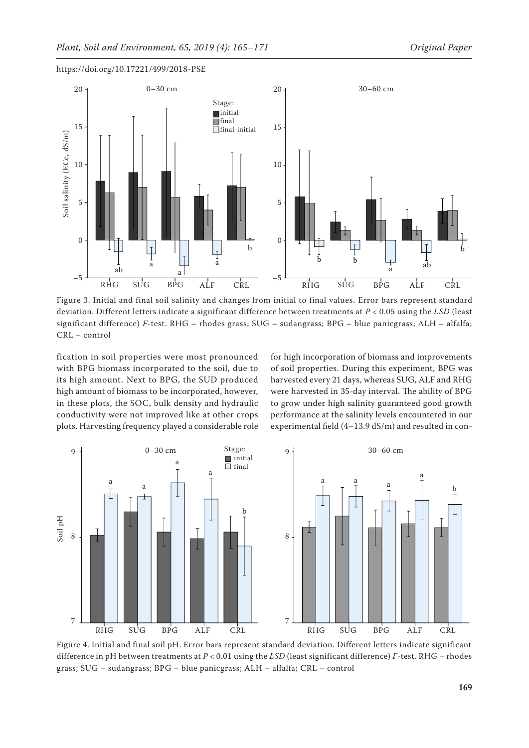

Figure 3. Initial and final soil salinity and changes from initial to final values. Error bars represent standard deviation. Different letters indicate a significant difference between treatments at *P* < 0.05 using the *LSD* (least significant difference) *F*-test. RHG – rhodes grass; SUG – sudangrass; BPG – blue panicgrass; ALH – alfalfa; CRL – control

fication in soil properties were most pronounced with BPG biomass incorporated to the soil, due to its high amount. Next to BPG, the SUD produced high amount of biomass to be incorporated, however, in these plots, the SOC, bulk density and hydraulic conductivity were not improved like at other crops plots. Harvesting frequency played a considerable role for high incorporation of biomass and improvements of soil properties. During this experiment, BPG was harvested every 21 days, whereas SUG, ALF and RHG were harvested in 35-day interval. The ability of BPG to grow under high salinity guaranteed good growth performance at the salinity levels encountered in our experimental field (4–13.9 dS/m) and resulted in con-



Figure 4. Initial and final soil pH. Error bars represent standard deviation. Different letters indicate significant difference in pH between treatments at *P* < 0.01 using the *LSD* (least significant difference) *F*-test. RHG – rhodes grass; SUG – sudangrass; BPG – blue panicgrass; ALH – alfalfa; CRL – control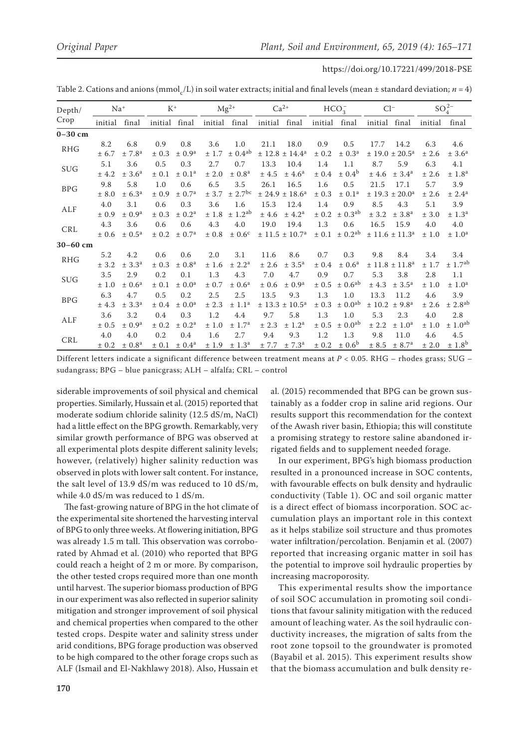Table 2. Cations and anions (mmol<sub>c</sub>/L) in soil water extracts; initial and final levels (mean ± standard deviation; *n* = 4)

| Depth/<br>Crop | $Na+$   |                        | $K^+$         |                        | $Mg^{2+}$ |                         | $Ca^{2+}$     |                            | $HCO3^-$ |                         | $Cl^-$        |                            | $SO_4^{2-}$ |                      |
|----------------|---------|------------------------|---------------|------------------------|-----------|-------------------------|---------------|----------------------------|----------|-------------------------|---------------|----------------------------|-------------|----------------------|
|                | initial | final                  | initial final |                        |           | initial final           | initial final |                            | initial  | final                   | initial final |                            | initial     | final                |
| $0-30$ cm      |         |                        |               |                        |           |                         |               |                            |          |                         |               |                            |             |                      |
| <b>RHG</b>     | 8.2     | 6.8                    | 0.9           | 0.8                    | 3.6       | 1.0                     | 21.1          | 18.0                       | 0.9      | 0.5                     | 17.7          | 14.2                       | 6.3         | 4.6                  |
|                | ± 6.7   | ± 7.8 <sup>a</sup>     | ± 0.3         | ± 0.9 <sup>a</sup>     | ± 1.7     | $\pm$ 0.4 <sup>ab</sup> |               | ± 12.8 ± 14.4 <sup>a</sup> | ± 0.2    | ± 0.3 <sup>a</sup>      |               | ± 19.0 ± 20.5 <sup>a</sup> | ± 2.6       | ± 3.6 <sup>a</sup>   |
| <b>SUG</b>     | 5.1     | 3.6                    | 0.5           | 0.3                    | 2.7       | 0.7                     | 13.3          | 10.4                       | 1.4      | 1.1                     | 8.7           | 5.9                        | 6.3         | 4.1                  |
|                | ± 4.2   | ± 3.6 <sup>a</sup>     | ± 0.1         | $\pm$ 0.1 <sup>a</sup> | ± 2.0     | $\pm$ 0.8 <sup>a</sup>  | ± 4.5         | ± 4.6 <sup>a</sup>         | ± 0.4    | $\pm$ 0.4 <sup>b</sup>  | ± 4.6         | ± 3.4 <sup>a</sup>         | ± 2.6       | ± 1.8 <sup>a</sup>   |
| <b>BPG</b>     | 9.8     | 5.8                    | 1.0           | 0.6                    | 6.5       | 3.5                     | 26.1          | 16.5                       | 1.6      | 0.5                     | 21.5          | 17.1                       | 5.7         | 3.9                  |
|                | ± 8.0   | ± 6.3 <sup>a</sup>     | ± 0.9         | $\pm$ 0.7 <sup>a</sup> | ± 3.7     | $\pm 2.7^{\rm bc}$      |               | ± 24.9 ± 18.6 <sup>a</sup> | ± 0.3    | ± 0.1 <sup>a</sup>      |               | ± 19.3 ± 20.0 <sup>a</sup> | ± 2.6       | ± 2.4 <sup>a</sup>   |
| ALF            | 4.0     | 3.1                    | 0.6           | 0.3                    | 3.6       | 1.6                     | 15.3          | 12.4                       | 1.4      | 0.9                     | 8.5           | 4.3                        | 5.1         | 3.9                  |
|                | ± 0.9   | ± 0.9 <sup>a</sup>     | ± 0.3         | ± 0.2 <sup>a</sup>     | ±1.8      | $\pm$ 1.2 <sup>ab</sup> | ±4.6          | $±$ 4.2 <sup>a</sup>       | ± 0.2    | $\pm$ 0.3 <sup>ab</sup> | ± 3.2         | ± 3.8 <sup>a</sup>         | ± 3.0       | ± 1.3 <sup>a</sup>   |
| CRL            | 4.3     | 3.6                    | 0.6           | 0.6                    | 4.3       | 4.0                     | 19.0          | 19.4                       | 1.3      | 0.6                     | 16.5          | 15.9                       | 4.0         | 4.0                  |
|                | ± 0.6   | $\pm$ 0.5 <sup>a</sup> | ± 0.2         | $\pm$ 0.7 <sup>a</sup> | ± 0.8     | $\pm 0.6^{\circ}$       |               | ± 11.5 ± 10.7 <sup>a</sup> | ± 0.1    | $\pm$ 0.2 <sup>ab</sup> |               | ± 11.6 ± 11.3 <sup>a</sup> | ±1.0        | $\pm 1.0^{\text{a}}$ |
| $30 - 60$ cm   |         |                        |               |                        |           |                         |               |                            |          |                         |               |                            |             |                      |
| <b>RHG</b>     | 5.2     | 4.2                    | 0.6           | 0.6                    | 2.0       | 3.1                     | 11.6          | 8.6                        | 0.7      | 0.3                     | 9.8           | 8.4                        | 3.4         | 3.4                  |
|                | ± 3.2   | ± 3.3 <sup>a</sup>     | ± 0.3         | ± 0.8 <sup>a</sup>     | ±1.6      | ± 2.2 <sup>a</sup>      | ± 2.6         | ± 3.5 <sup>a</sup>         | ± 0.4    | ± 0.6 <sup>a</sup>      |               | ± 11.8 ± 11.8 <sup>a</sup> | ± 1.7       | $\pm 1.7^{ab}$       |
| <b>SUG</b>     | 3.5     | 2.9                    | 0.2           | 0.1                    | 1.3       | 4.3                     | 7.0           | 4.7                        | 0.9      | 0.7                     | 5.3           | 3.8                        | 2.8         | 1.1                  |
|                | ± 1.0   | $\pm$ 0.6 <sup>a</sup> | ± 0.1         | $\pm$ 0.0 <sup>a</sup> | ± 0.7     | $\pm$ 0.6 <sup>a</sup>  | ± 0.6         | $\pm$ 0.9 <sup>a</sup>     | ± 0.5    | $\pm$ 0.6 <sup>ab</sup> | ± 4.3         | ± 3.5 <sup>a</sup>         | ± 1.0       | ± 1.0 <sup>a</sup>   |
| <b>BPG</b>     | 6.3     | 4.7                    | 0.5           | 0.2                    | 2.5       | 2.5                     | 13.5          | 9.3                        | 1.3      | 1.0                     | 13.3          | 11.2                       | 4.6         | 3.9                  |
|                | ± 4.3   | ± 3.3 <sup>a</sup>     | ± 0.4         | $\pm$ 0.0 <sup>a</sup> | ± 2.3     | ± 1.1 <sup>a</sup>      |               | ± 13.3 ± 10.5 <sup>a</sup> | ± 0.3    | $\pm$ 0.0 <sup>ab</sup> | $\pm$ 10.2    | ± 9.8 <sup>a</sup>         | ± 2.6       | ± 2.8 <sup>ab</sup>  |
| ALF            | 3.6     | 3.2                    | 0.4           | 0.3                    | 1.2       | 4.4                     | 9.7           | 5.8                        | 1.3      | 1.0                     | 5.3           | 2.3                        | 4.0         | 2.8                  |
|                | ± 0.5   | $\pm$ 0.9 <sup>a</sup> | ± 0.2         | $\pm$ 0.2 <sup>a</sup> | ±1.0      | $\pm$ 1.7 <sup>a</sup>  | ± 2.3         | ± 1.2 <sup>a</sup>         | ± 0.5    | $\pm$ 0.0 <sup>ab</sup> | ± 2.2         | ± 1.0 <sup>a</sup>         | ± 1.0       | $\pm 1.0^{ab}$       |
| CRL            | 4.0     | 4.0                    | 0.2           | 0.4                    | 1.6       | 2.7                     | 9.4           | 9.3                        | 1.2      | 1.3                     | 9.8           | 11.0                       | 4.6         | 4.5                  |
|                | ± 0.2   | $\pm$ 0.8 <sup>a</sup> | ± 0.1         | ± 0.4 <sup>a</sup>     | ±1.9      | ± 1.3 <sup>a</sup>      | ± 7.7         | ± 7.3 <sup>a</sup>         | ± 0.2    | $\pm 0.6^{\rm b}$       | ± 8.5         | ± 8.7 <sup>a</sup>         | ± 2.0       | ± 1.8 <sup>b</sup>   |

Different letters indicate a significant difference between treatment means at *P* < 0.05. RHG – rhodes grass; SUG – sudangrass; BPG – blue panicgrass; ALH – alfalfa; CRL – control

siderable improvements of soil physical and chemical properties. Similarly, Hussain et al. (2015) reported that moderate sodium chloride salinity (12.5 dS/m, NaCl) had a little effect on the BPG growth. Remarkably, very similar growth performance of BPG was observed at all experimental plots despite different salinity levels; however, (relatively) higher salinity reduction was observed in plots with lower salt content. For instance, the salt level of 13.9 dS/m was reduced to 10 dS/m, while 4.0 dS/m was reduced to 1 dS/m.

The fast-growing nature of BPG in the hot climate of the experimental site shortened the harvesting interval of BPG to only three weeks. At flowering initiation, BPG was already 1.5 m tall. This observation was corroborated by Ahmad et al. (2010) who reported that BPG could reach a height of 2 m or more. By comparison, the other tested crops required more than one month until harvest. The superior biomass production of BPG in our experiment was also reflected in superior salinity mitigation and stronger improvement of soil physical and chemical properties when compared to the other tested crops. Despite water and salinity stress under arid conditions, BPG forage production was observed to be high compared to the other forage crops such as ALF (Ismail and El-Nakhlawy 2018). Also, Hussain et

al. (2015) recommended that BPG can be grown sustainably as a fodder crop in saline arid regions. Our results support this recommendation for the context of the Awash river basin, Ethiopia; this will constitute a promising strategy to restore saline abandoned irrigated fields and to supplement needed forage.

In our experiment, BPG's high biomass production resulted in a pronounced increase in SOC contents, with favourable effects on bulk density and hydraulic conductivity (Table 1). OC and soil organic matter is a direct effect of biomass incorporation. SOC accumulation plays an important role in this context as it helps stabilize soil structure and thus promotes water infiltration/percolation. Benjamin et al. (2007) reported that increasing organic matter in soil has the potential to improve soil hydraulic properties by increasing macroporosity.

This experimental results show the importance of soil SOC accumulation in promoting soil conditions that favour salinity mitigation with the reduced amount of leaching water. As the soil hydraulic conductivity increases, the migration of salts from the root zone topsoil to the groundwater is promoted (Bayabil et al. 2015). This experiment results show that the biomass accumulation and bulk density re-